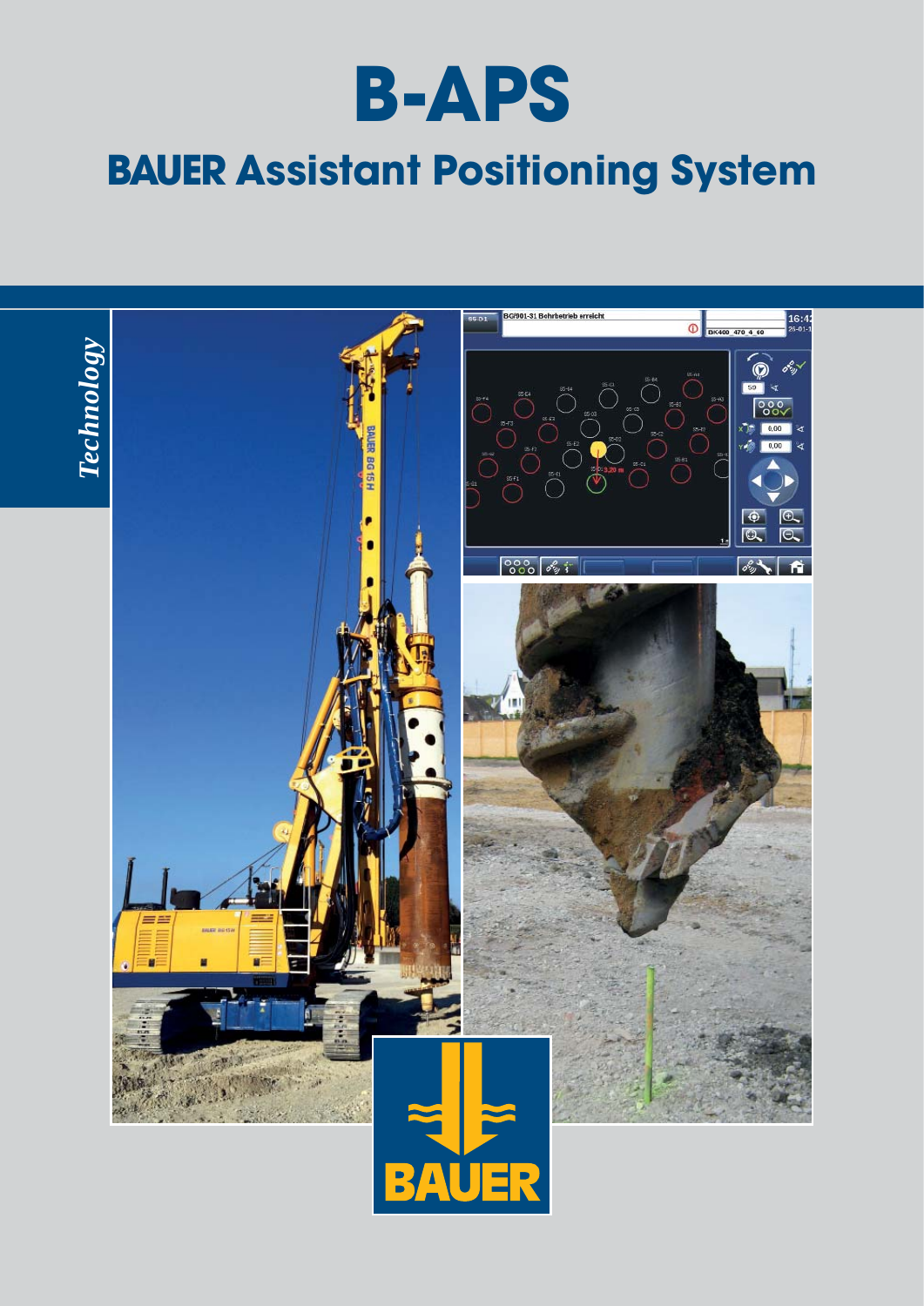

# **BAUER Assistant Positioning System**

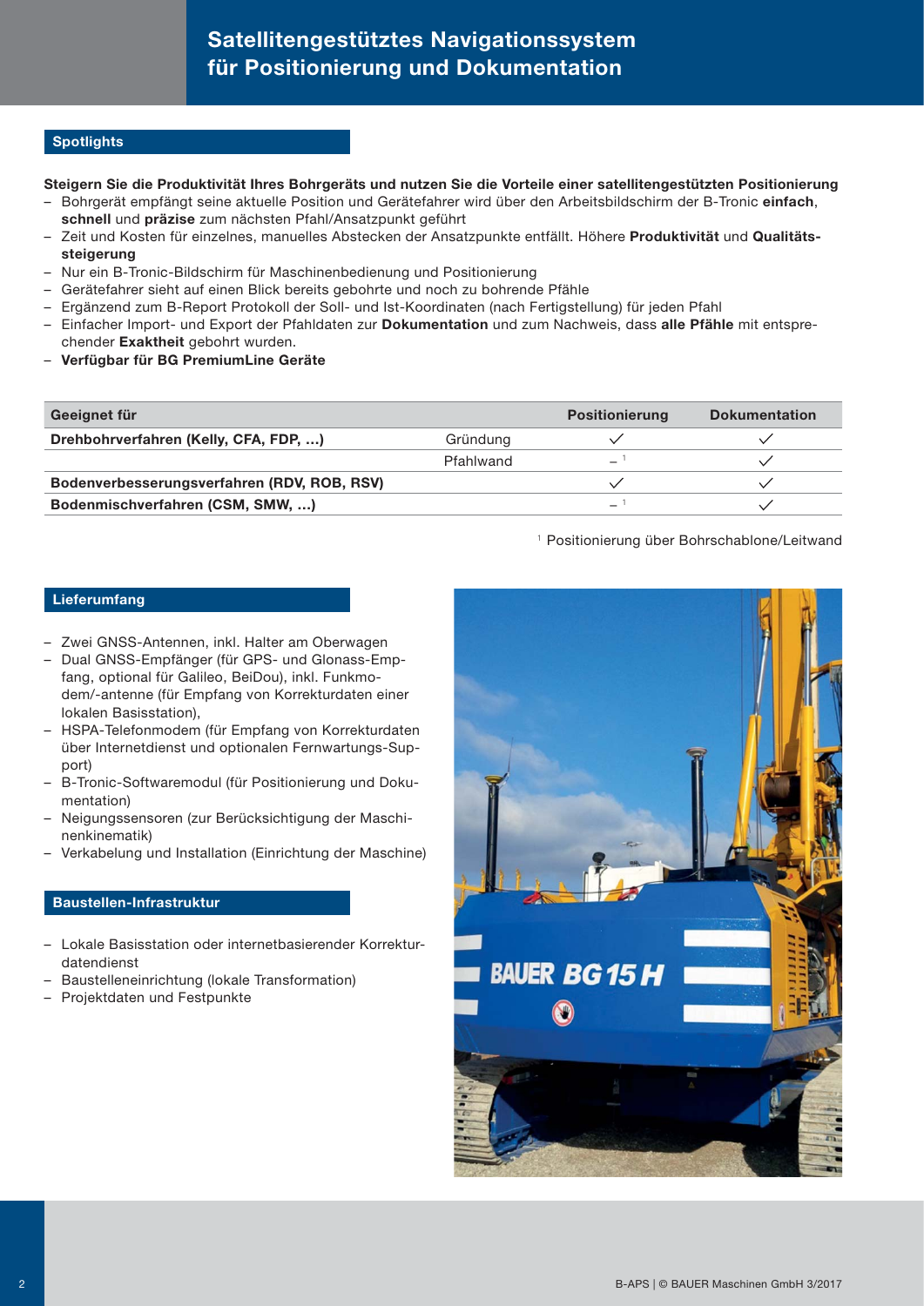# **Satellitengestütztes Navigationssystem für Positionierung und Dokumentation**

## **Spotlights**

## **Steigern Sie die Produktivität Ihres Bohrgeräts und nutzen Sie die Vorteile einer satellitengestützten Positionierung**

- Bohrgerät empfängt seine aktuelle Position und Gerätefahrer wird über den Arbeitsbildschirm der B-Tronic **einfach**, **schnell** und **präzise** zum nächsten Pfahl/Ansatzpunkt geführt
- Zeit und Kosten für einzelnes, manuelles Abstecken der Ansatzpunkte entfällt. Höhere **Produktivität** und **Qualitätssteigerung**
- Nur ein B-Tronic-Bildschirm für Maschinenbedienung und Positionierung
- Gerätefahrer sieht auf einen Blick bereits gebohrte und noch zu bohrende Pfähle
- Ergänzend zum B-Report Protokoll der Soll- und Ist-Koordinaten (nach Fertigstellung) für jeden Pfahl
- Einfacher Import- und Export der Pfahldaten zur **Dokumentation** und zum Nachweis, dass **alle Pfähle** mit entsprechender **Exaktheit** gebohrt wurden.
- **Verfügbar für BG PremiumLine Geräte**

| Geeignet für                                |           | <b>Positionierung</b> | <b>Dokumentation</b> |
|---------------------------------------------|-----------|-----------------------|----------------------|
| Drehbohrverfahren (Kelly, CFA, FDP, )       | Gründung  |                       |                      |
|                                             | Pfahlwand | $\equiv$              |                      |
| Bodenverbesserungsverfahren (RDV, ROB, RSV) |           |                       |                      |
| Bodenmischverfahren (CSM, SMW, )            |           | $\equiv$              |                      |

#### <sup>1</sup> Positionierung über Bohrschablone/Leitwand

#### **Lieferumfang**

- Zwei GNSS-Antennen, inkl. Halter am Oberwagen
- Dual GNSS-Empfänger (für GPS- und Glonass-Empfang, optional für Galileo, BeiDou), inkl. Funkmodem/-antenne (für Empfang von Korrekturdaten einer lokalen Basisstation),
- HSPA-Telefonmodem (für Empfang von Korrekturdaten über Internetdienst und optionalen Fernwartungs-Support)
- B-Tronic-Softwaremodul (für Positionierung und Dokumentation)
- Neigungssensoren (zur Berücksichtigung der Maschinenkinematik)
- Verkabelung und Installation (Einrichtung der Maschine)

#### **Baustellen-Infrastruktur**

- Lokale Basisstation oder internetbasierender Korrekturdatendienst
- Baustelleneinrichtung (lokale Transformation)
- Projektdaten und Festpunkte

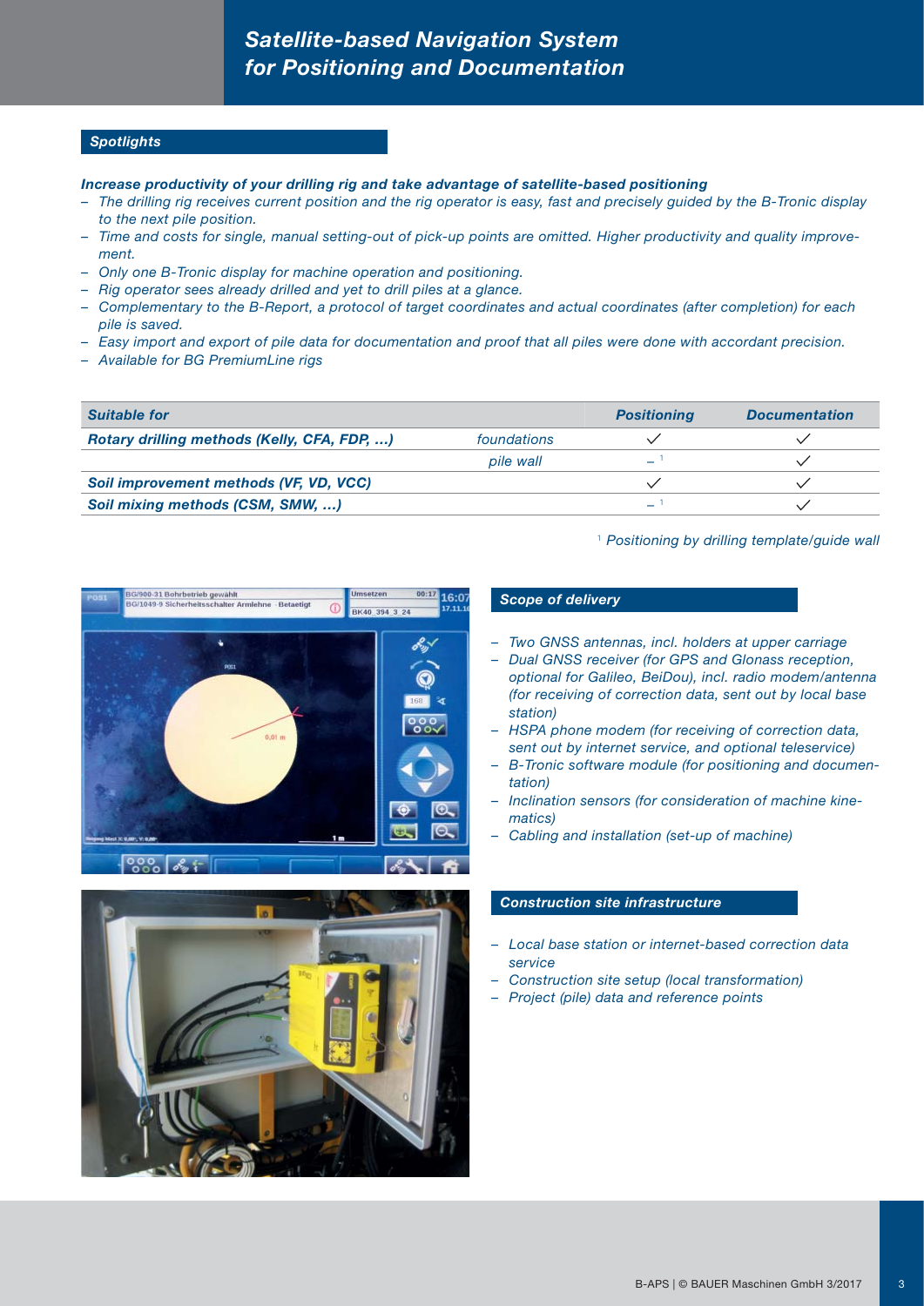# *Satellite-based Navigation System for Positioning and Documentation*

## *Spotlights*

#### *Increase productivity of your drilling rig and take advantage of satellite-based positioning*

- *The drilling rig receives current position and the rig operator is easy, fast and precisely guided by the B-Tronic display to the next pile position.*
- *Time and costs for single, manual setting-out of pick-up points are omitted. Higher productivity and quality improvement.*
- *Only one B-Tronic display for machine operation and positioning.*
- *Rig operator sees already drilled and yet to drill piles at a glance.*
- *Complementary to the B-Report, a protocol of target coordinates and actual coordinates (after completion) for each pile is saved.*
- *Easy import and export of pile data for documentation and proof that all piles were done with accordant precision.*
- *Available for BG PremiumLine rigs*

| <b>Suitable for</b>                         |             | <b>Positioning</b> | <b>Documentation</b> |
|---------------------------------------------|-------------|--------------------|----------------------|
| Rotary drilling methods (Kelly, CFA, FDP, ) | foundations |                    |                      |
|                                             | pile wall   |                    |                      |
| Soil improvement methods (VF, VD, VCC)      |             |                    |                      |
| Soil mixing methods (CSM, SMW, )            |             |                    |                      |

<sup>1</sup>*Positioning by drilling template/guide wall*





#### *Scope of delivery*

- *Two GNSS antennas, incl. holders at upper carriage*
- *Dual GNSS receiver (for GPS and Glonass reception, optional for Galileo, BeiDou), incl. radio modem/antenna (for receiving of correction data, sent out by local base station)*
- *HSPA phone modem (for receiving of correction data, sent out by internet service, and optional teleservice)*
- *B-Tronic software module (for positioning and documentation)*
- *Inclination sensors (for consideration of machine kinematics)*
- *Cabling and installation (set-up of machine)*

# *Construction site infrastructure*

- *Local base station or internet-based correction data service*
- *Construction site setup (local transformation)*
- *Project (pile) data and reference points*